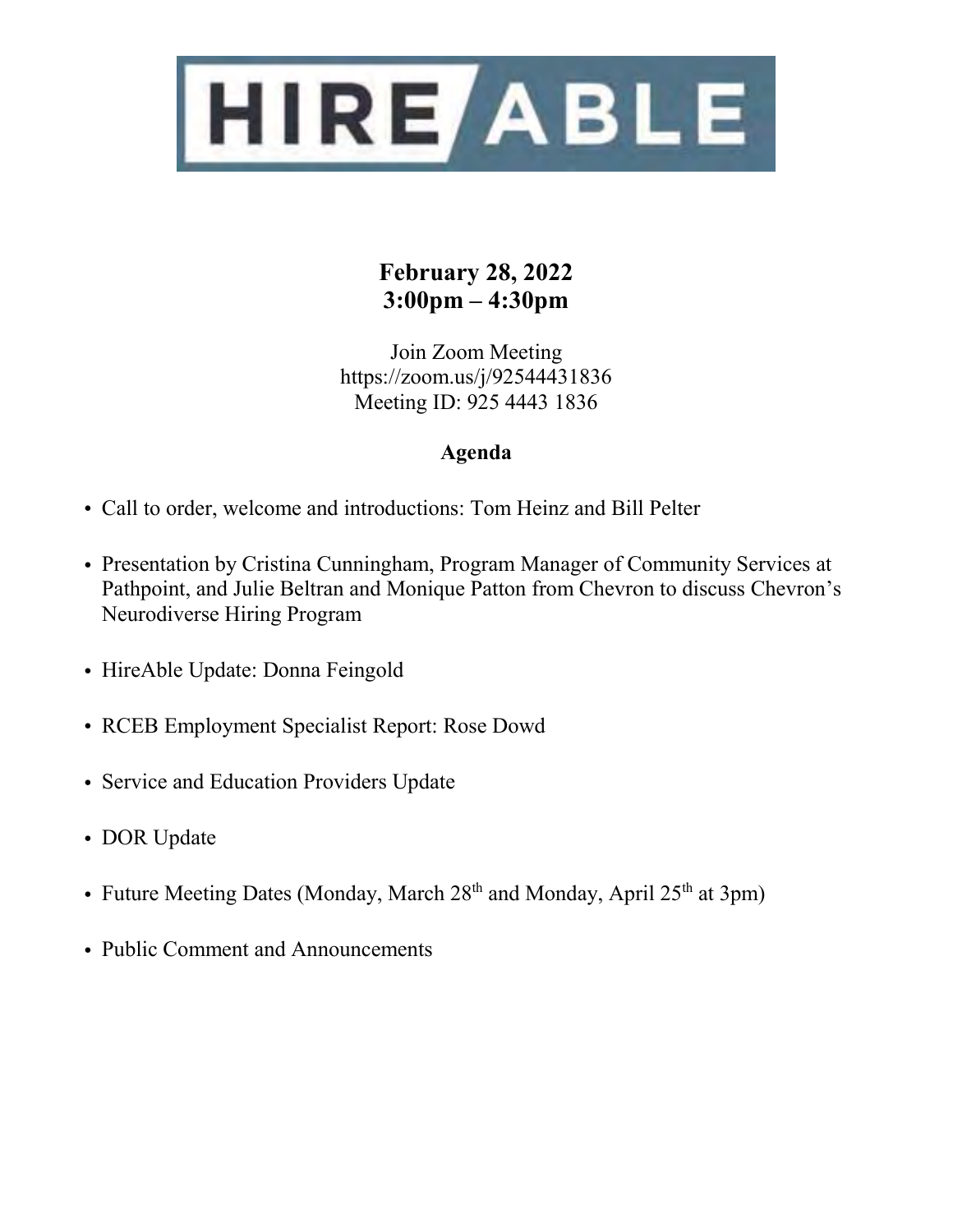

## **February 28, 2022 3:00pm – 4:30pm**

Join Zoom Meeting https://zoom.us/j/92544431836 Meeting ID: 925 4443 1836

## **Agenda**

- Call to order, welcome and introductions: Tom Heinz and Bill Pelter
- Presentation by Cristina Cunningham, Program Manager of Community Services at Pathpoint, and Julie Beltran and Monique Patton from Chevron to discuss Chevron's Neurodiverse Hiring Program
- HireAble Update: Donna Feingold
- RCEB Employment Specialist Report: Rose Dowd
- Service and Education Providers Update
- DOR Update
- Future Meeting Dates (Monday, March 28<sup>th</sup> and Monday, April 25<sup>th</sup> at 3pm)
- Public Comment and Announcements